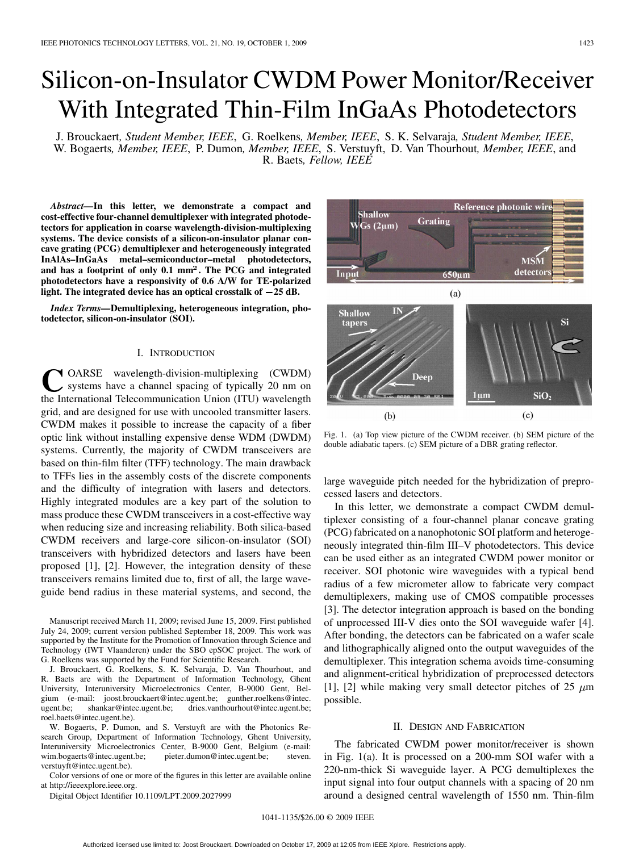# Silicon-on-Insulator CWDM Power Monitor/Receiver With Integrated Thin-Film InGaAs Photodetectors

J. Brouckaert*, Student Member, IEEE*, G. Roelkens*, Member, IEEE*, S. K. Selvaraja*, Student Member, IEEE*, W. Bogaerts*, Member, IEEE*, P. Dumon*, Member, IEEE*, S. Verstuyft, D. Van Thourhout*, Member, IEEE*, and R. Baets*, Fellow, IEEE*

*Abstract—***In this letter, we demonstrate a compact and cost-effective four-channel demultiplexer with integrated photodetectors for application in coarse wavelength-division-multiplexing systems. The device consists of a silicon-on-insulator planar concave grating (PCG) demultiplexer and heterogeneously integrated InAlAs–InGaAs metal–semiconductor–metal photodetectors, and has a footprint of only 0.1 mm. The PCG and integrated photodetectors have a responsivity of 0.6 A/W for TE-polarized light. The integrated device has an optical crosstalk of 25 dB.**

*Index Terms—***Demultiplexing, heterogeneous integration, photodetector, silicon-on-insulator (SOI).**

## I. INTRODUCTION

**T**OARSE wavelength-division-multiplexing (CWDM) systems have a channel spacing of typically 20 nm on the International Telecommunication Union (ITU) wavelength grid, and are designed for use with uncooled transmitter lasers. CWDM makes it possible to increase the capacity of a fiber optic link without installing expensive dense WDM (DWDM) systems. Currently, the majority of CWDM transceivers are based on thin-film filter (TFF) technology. The main drawback to TFFs lies in the assembly costs of the discrete components and the difficulty of integration with lasers and detectors. Highly integrated modules are a key part of the solution to mass produce these CWDM transceivers in a cost-effective way when reducing size and increasing reliability. Both silica-based CWDM receivers and large-core silicon-on-insulator (SOI) transceivers with hybridized detectors and lasers have been proposed [1], [2]. However, the integration density of these transceivers remains limited due to, first of all, the large waveguide bend radius in these material systems, and second, the

Manuscript received March 11, 2009; revised June 15, 2009. First published July 24, 2009; current version published September 18, 2009. This work was supported by the Institute for the Promotion of Innovation through Science and Technology (IWT Vlaanderen) under the SBO epSOC project. The work of G. Roelkens was supported by the Fund for Scientific Research.

J. Brouckaert, G. Roelkens, S. K. Selvaraja, D. Van Thourhout, and R. Baets are with the Department of Information Technology, Ghent University, Interuniversity Microelectronics Center, B-9000 Gent, Belgium (e-mail: joost.brouckaert@intec.ugent.be; gunther.roelkens@intec. ugent.be; shankar@intec.ugent.be; dries.vanthourhout@intec.ugent.be; roel.baets@intec.ugent.be).

W. Bogaerts, P. Dumon, and S. Verstuyft are with the Photonics Research Group, Department of Information Technology, Ghent University, Interuniversity Microelectronics Center, B-9000 Gent, Belgium (e-mail: wim.bogaerts@intec.ugent.be; pieter.dumon@intec.ugent.be; steven. verstuyft@intec.ugent.be).

Color versions of one or more of the figures in this letter are available online at http://ieeexplore.ieee.org.

Digital Object Identifier 10.1109/LPT.2009.2027999

Reference photonic wire **Shallow** Grating  $Gs(2\mu m)$ **MSM** detector Input **650um** 



Fig. 1. (a) Top view picture of the CWDM receiver. (b) SEM picture of the double adiabatic tapers. (c) SEM picture of a DBR grating reflector.

large waveguide pitch needed for the hybridization of preprocessed lasers and detectors.

In this letter, we demonstrate a compact CWDM demultiplexer consisting of a four-channel planar concave grating (PCG) fabricated on a nanophotonic SOI platform and heterogeneously integrated thin-film III–V photodetectors. This device can be used either as an integrated CWDM power monitor or receiver. SOI photonic wire waveguides with a typical bend radius of a few micrometer allow to fabricate very compact demultiplexers, making use of CMOS compatible processes [3]. The detector integration approach is based on the bonding of unprocessed III-V dies onto the SOI waveguide wafer [4]. After bonding, the detectors can be fabricated on a wafer scale and lithographically aligned onto the output waveguides of the demultiplexer. This integration schema avoids time-consuming and alignment-critical hybridization of preprocessed detectors [1], [2] while making very small detector pitches of 25  $\mu$ m possible.

### II. DESIGN AND FABRICATION

The fabricated CWDM power monitor/receiver is shown in Fig. 1(a). It is processed on a 200-mm SOI wafer with a 220-nm-thick Si waveguide layer. A PCG demultiplexes the input signal into four output channels with a spacing of 20 nm around a designed central wavelength of 1550 nm. Thin-film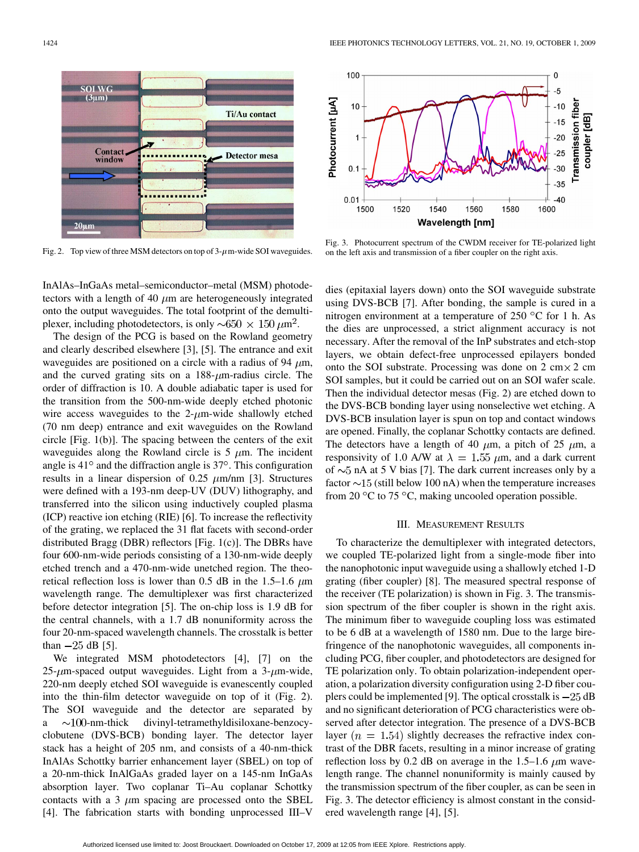

Fig. 2. Top view of three MSM detectors on top of  $3-\mu$ m-wide SOI waveguides.



The design of the PCG is based on the Rowland geometry and clearly described elsewhere [3], [5]. The entrance and exit waveguides are positioned on a circle with a radius of 94  $\mu$ m, and the curved grating sits on a  $188-\mu m$ -radius circle. The order of diffraction is 10. A double adiabatic taper is used for the transition from the 500-nm-wide deeply etched photonic wire access waveguides to the  $2-\mu m$ -wide shallowly etched (70 nm deep) entrance and exit waveguides on the Rowland circle [Fig. 1(b)]. The spacing between the centers of the exit waveguides along the Rowland circle is  $5 \mu m$ . The incident angle is  $41^{\circ}$  and the diffraction angle is  $37^{\circ}$ . This configuration results in a linear dispersion of 0.25  $\mu$ m/nm [3]. Structures were defined with a 193-nm deep-UV (DUV) lithography, and transferred into the silicon using inductively coupled plasma (ICP) reactive ion etching (RIE) [6]. To increase the reflectivity of the grating, we replaced the 31 flat facets with second-order distributed Bragg (DBR) reflectors [Fig. 1(c)]. The DBRs have four 600-nm-wide periods consisting of a 130-nm-wide deeply etched trench and a 470-nm-wide unetched region. The theoretical reflection loss is lower than 0.5 dB in the 1.5–1.6  $\mu$ m wavelength range. The demultiplexer was first characterized before detector integration [5]. The on-chip loss is 1.9 dB for the central channels, with a 1.7 dB nonuniformity across the four 20-nm-spaced wavelength channels. The crosstalk is better than  $-25$  dB [5].

We integrated MSM photodetectors [4], [7] on the 25- $\mu$ m-spaced output waveguides. Light from a 3- $\mu$ m-wide, 220-nm deeply etched SOI waveguide is evanescently coupled into the thin-film detector waveguide on top of it (Fig. 2). The SOI waveguide and the detector are separated by  $a \sim 100$ -nm-thick divinyl-tetramethyldisiloxane-benzocyclobutene (DVS-BCB) bonding layer. The detector layer stack has a height of 205 nm, and consists of a 40-nm-thick InAlAs Schottky barrier enhancement layer (SBEL) on top of a 20-nm-thick InAlGaAs graded layer on a 145-nm InGaAs absorption layer. Two coplanar Ti–Au coplanar Schottky contacts with a 3  $\mu$ m spacing are processed onto the SBEL [4]. The fabrication starts with bonding unprocessed III–V



Fig. 3. Photocurrent spectrum of the CWDM receiver for TE-polarized light on the left axis and transmission of a fiber coupler on the right axis.

dies (epitaxial layers down) onto the SOI waveguide substrate using DVS-BCB [7]. After bonding, the sample is cured in a nitrogen environment at a temperature of  $250 °C$  for 1 h. As the dies are unprocessed, a strict alignment accuracy is not necessary. After the removal of the InP substrates and etch-stop layers, we obtain defect-free unprocessed epilayers bonded onto the SOI substrate. Processing was done on  $2 \text{ cm} \times 2 \text{ cm}$ SOI samples, but it could be carried out on an SOI wafer scale. Then the individual detector mesas (Fig. 2) are etched down to the DVS-BCB bonding layer using nonselective wet etching. A DVS-BCB insulation layer is spun on top and contact windows are opened. Finally, the coplanar Schottky contacts are defined. The detectors have a length of 40  $\mu$ m, a pitch of 25  $\mu$ m, a responsivity of 1.0 A/W at  $\lambda = 1.55 \ \mu \text{m}$ , and a dark current of  $\sim$  5 nA at 5 V bias [7]. The dark current increases only by a factor  $\sim$ 15 (still below 100 nA) when the temperature increases from 20  $\mathrm{^{\circ}C}$  to 75  $\mathrm{^{\circ}C}$ , making uncooled operation possible.

### III. MEASUREMENT RESULTS

To characterize the demultiplexer with integrated detectors, we coupled TE-polarized light from a single-mode fiber into the nanophotonic input waveguide using a shallowly etched 1-D grating (fiber coupler) [8]. The measured spectral response of the receiver (TE polarization) is shown in Fig. 3. The transmission spectrum of the fiber coupler is shown in the right axis. The minimum fiber to waveguide coupling loss was estimated to be 6 dB at a wavelength of 1580 nm. Due to the large birefringence of the nanophotonic waveguides, all components including PCG, fiber coupler, and photodetectors are designed for TE polarization only. To obtain polarization-independent operation, a polarization diversity configuration using 2-D fiber couplers could be implemented [9]. The optical crosstalk is  $-25$  dB and no significant deterioration of PCG characteristics were observed after detector integration. The presence of a DVS-BCB layer  $(n = 1.54)$  slightly decreases the refractive index contrast of the DBR facets, resulting in a minor increase of grating reflection loss by 0.2 dB on average in the 1.5–1.6  $\mu$ m wavelength range. The channel nonuniformity is mainly caused by the transmission spectrum of the fiber coupler, as can be seen in Fig. 3. The detector efficiency is almost constant in the considered wavelength range [4], [5].